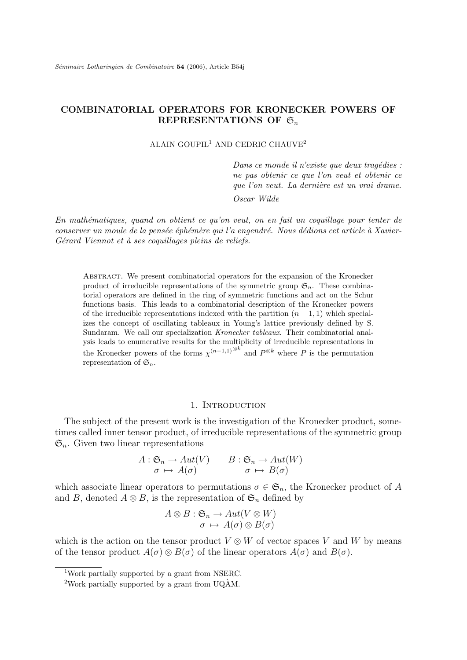# COMBINATORIAL OPERATORS FOR KRONECKER POWERS OF REPRESENTATIONS OF  $\mathfrak{S}_n$

ALAIN GOUPIL<sup>1</sup> AND CEDRIC CHAUVE<sup>2</sup>

Dans ce monde il n'existe que deux tragédies : ne pas obtenir ce que l'on veut et obtenir ce que l'on veut. La dernière est un vrai drame.

Oscar Wilde

En mathématiques, quand on obtient ce qu'on veut, on en fait un coquillage pour tenter de conserver un moule de la pensée éphémère qui l'a engendré. Nous dédions cet article à Xavier-Gérard Viennot et à ses coquillages pleins de reliefs.

Abstract. We present combinatorial operators for the expansion of the Kronecker product of irreducible representations of the symmetric group  $\mathfrak{S}_n$ . These combinatorial operators are defined in the ring of symmetric functions and act on the Schur functions basis. This leads to a combinatorial description of the Kronecker powers of the irreducible representations indexed with the partition  $(n - 1, 1)$  which specializes the concept of oscillating tableaux in Young's lattice previously defined by S. Sundaram. We call our specialization *Kronecker tableaux*. Their combinatorial analysis leads to enumerative results for the multiplicity of irreducible representations in the Kronecker powers of the forms  $\chi^{(n-1,1)}^{\otimes k}$  and  $P^{\otimes k}$  where P is the permutation representation of  $\mathfrak{S}_n$ .

## 1. INTRODUCTION

The subject of the present work is the investigation of the Kronecker product, sometimes called inner tensor product, of irreducible representations of the symmetric group  $\mathfrak{S}_n$ . Given two linear representations

$$
A: \mathfrak{S}_n \to Aut(V) \qquad B: \mathfrak{S}_n \to Aut(W) \n\sigma \mapsto A(\sigma) \qquad \sigma \mapsto B(\sigma)
$$

which associate linear operators to permutations  $\sigma \in \mathfrak{S}_n$ , the Kronecker product of A and B, denoted  $A \otimes B$ , is the representation of  $\mathfrak{S}_n$  defined by

$$
A \otimes B : \mathfrak{S}_n \to Aut(V \otimes W)
$$
  

$$
\sigma \mapsto A(\sigma) \otimes B(\sigma)
$$

which is the action on the tensor product  $V \otimes W$  of vector spaces V and W by means of the tensor product  $A(\sigma) \otimes B(\sigma)$  of the linear operators  $A(\sigma)$  and  $B(\sigma)$ .

<sup>1</sup>Work partially supported by a grant from NSERC.

<sup>&</sup>lt;sup>2</sup>Work partially supported by a grant from UQ $\hat{A}$ M.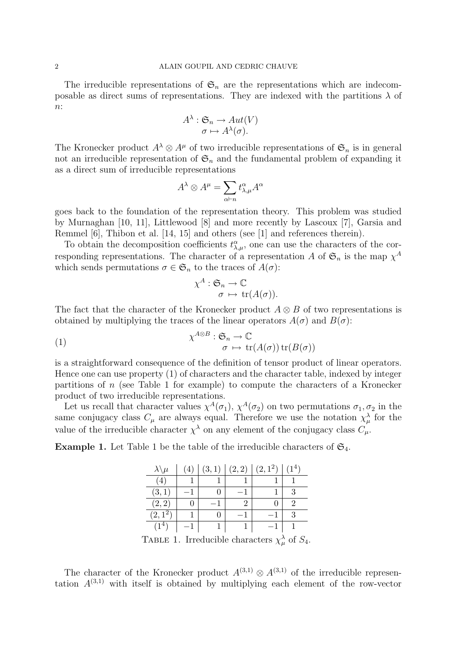The irreducible representations of  $\mathfrak{S}_n$  are the representations which are indecomposable as direct sums of representations. They are indexed with the partitions  $\lambda$  of  $n$ :

$$
A^{\lambda}: \mathfrak{S}_n \to Aut(V)
$$

$$
\sigma \mapsto A^{\lambda}(\sigma).
$$

The Kronecker product  $A^{\lambda} \otimes A^{\mu}$  of two irreducible representations of  $\mathfrak{S}_n$  is in general not an irreducible representation of  $\mathfrak{S}_n$  and the fundamental problem of expanding it as a direct sum of irreducible representations

$$
A^{\lambda} \otimes A^{\mu} = \sum_{\alpha \vdash n} t^{\alpha}_{\lambda,\mu} A^{\alpha}
$$

goes back to the foundation of the representation theory. This problem was studied by Murnaghan [10, 11], Littlewood [8] and more recently by Lascoux [7], Garsia and Remmel [6], Thibon et al. [14, 15] and others (see [1] and references therein).

To obtain the decomposition coefficients  $t^{\alpha}_{\lambda,\mu}$ , one can use the characters of the corresponding representations. The character of a representation A of  $\mathfrak{S}_n$  is the map  $\chi^A$ which sends permutations  $\sigma \in \mathfrak{S}_n$  to the traces of  $A(\sigma)$ :

$$
\chi^A : \mathfrak{S}_n \to \mathbb{C}
$$

$$
\sigma \mapsto \text{tr}(A(\sigma)).
$$

The fact that the character of the Kronecker product  $A \otimes B$  of two representations is obtained by multiplying the traces of the linear operators  $A(\sigma)$  and  $B(\sigma)$ :

(1) 
$$
\chi^{A \otimes B} : \mathfrak{S}_n \to \mathbb{C}
$$

$$
\sigma \mapsto \text{tr}(A(\sigma)) \text{tr}(B(\sigma))
$$

is a straightforward consequence of the definition of tensor product of linear operators. Hence one can use property (1) of characters and the character table, indexed by integer partitions of  $n$  (see Table 1 for example) to compute the characters of a Kronecker product of two irreducible representations.

Let us recall that character values  $\chi^A(\sigma_1)$ ,  $\chi^A(\sigma_2)$  on two permutations  $\sigma_1, \sigma_2$  in the same conjugacy class  $C_{\mu}$  are always equal. Therefore we use the notation  $\chi^{\lambda}_{\mu}$  for the value of the irreducible character  $\chi^{\lambda}$  on any element of the conjugacy class  $C_{\mu}$ .

**Example 1.** Let Table 1 be the table of the irreducible characters of  $\mathfrak{S}_4$ .

| $\lambda \backslash \mu$ | (4) | (3,1)                                 | (2, 2) | $(2,1^2)$ | $(1^4)$ |
|--------------------------|-----|---------------------------------------|--------|-----------|---------|
| (4)                      |     |                                       |        |           |         |
| (3,1)                    |     |                                       |        |           | 3       |
| (2, 2)                   | 0   |                                       |        |           |         |
| $(2,\overline{1^2})$     |     |                                       |        |           | 3       |
| $(1^4)$                  |     |                                       |        |           |         |
| г.                       | T.  | п.<br>$\cdot$ $\cdot$ $\cdot$ $\cdot$ |        |           | $\sim$  |

TABLE 1. Irreducible characters  $\chi^{\lambda}_{\mu}$  of  $S_4$ .

The character of the Kronecker product  $A^{(3,1)} \otimes A^{(3,1)}$  of the irreducible representation  $A^{(3,1)}$  with itself is obtained by multiplying each element of the row-vector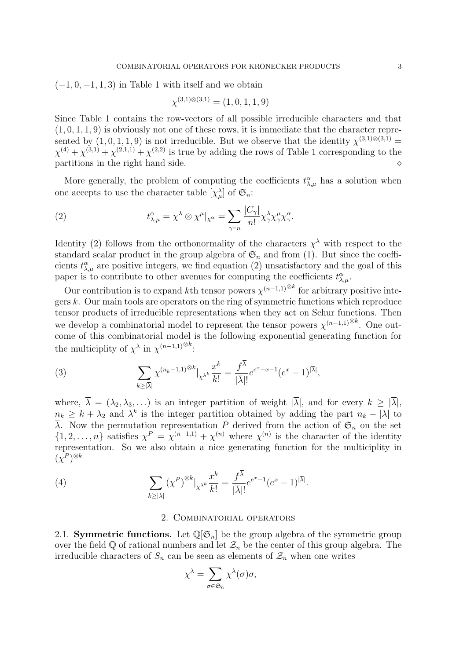$(-1, 0, -1, 1, 3)$  in Table 1 with itself and we obtain

$$
\chi^{(3,1)\otimes(3,1)} = (1,0,1,1,9)
$$

Since Table 1 contains the row-vectors of all possible irreducible characters and that  $(1, 0, 1, 1, 9)$  is obviously not one of these rows, it is immediate that the character represented by  $(1,0,1,1,9)$  is not irreducible. But we observe that the identity  $\chi^{(3,1)\otimes(3,1)}$  $\chi^{(4)} + \chi^{(3,1)} + \chi^{(2,1,1)} + \chi^{(2,2)}$  is true by adding the rows of Table 1 corresponding to the partitions in the right hand side.

More generally, the problem of computing the coefficients  $t^{\alpha}_{\lambda,\mu}$  has a solution when one accepts to use the character table  $[\chi^{\lambda}_{\mu}]$  of  $\mathfrak{S}_n$ :

(2) 
$$
t^{\alpha}_{\lambda,\mu} = \chi^{\lambda} \otimes \chi^{\mu}|_{\chi^{\alpha}} = \sum_{\gamma \vdash n} \frac{|C_{\gamma}|}{n!} \chi^{\lambda}_{\gamma} \chi^{\mu}_{\gamma} \chi^{\alpha}_{\gamma}.
$$

Identity (2) follows from the orthonormality of the characters  $\chi^{\lambda}$  with respect to the standard scalar product in the group algebra of  $\mathfrak{S}_n$  and from (1). But since the coefficients  $t^{\alpha}_{\lambda,\mu}$  are positive integers, we find equation (2) unsatisfactory and the goal of this paper is to contribute to other avenues for computing the coefficients  $t^{\alpha}_{\lambda,\mu}$ .

Our contribution is to expand kth tensor powers  $\chi^{(n-1,1)\otimes k}$  for arbitrary positive integers  $k$ . Our main tools are operators on the ring of symmetric functions which reproduce tensor products of irreducible representations when they act on Schur functions. Then we develop a combinatorial model to represent the tensor powers  $\chi^{(n-1,1)\otimes k}$ . One outcome of this combinatorial model is the following exponential generating function for the multiciplity of  $\chi^{\lambda}$  in  $\chi^{(n-1,1)\otimes k}$ :

(3) 
$$
\sum_{k\geq |\overline{\lambda}|}\chi^{(n_k-1,1)^{\otimes k}}|_{\chi^{\lambda^k}}\frac{x^k}{k!}=\frac{f^{\overline{\lambda}}}{|\overline{\lambda}|!}e^{e^x-x-1}(e^x-1)^{|\overline{\lambda}|},
$$

where,  $\overline{\lambda} = (\lambda_2, \lambda_3, \ldots)$  is an integer partition of weight  $|\overline{\lambda}|$ , and for every  $k \geq |\overline{\lambda}|$ ,  $n_k \geq k + \lambda_2$  and  $\lambda^k$  is the integer partition obtained by adding the part  $n_k - |\overline{\lambda}|$  to  $\overline{\lambda}$ . Now the permutation representation P derived from the action of  $\mathfrak{S}_n$  on the set  $\{1, 2, \ldots, n\}$  satisfies  $\chi^P = \chi^{(n-1,1)} + \chi^{(n)}$  where  $\chi^{(n)}$  is the character of the identity representation. So we also obtain a nice generating function for the multiciplity in  $(\chi^P)^{\otimes k}$ 

(4) 
$$
\sum_{k\geq |\overline{\lambda}|} (\chi^P)^{\otimes k} |_{\chi^{\lambda^k}} \frac{x^k}{k!} = \frac{f^{\overline{\lambda}}}{|\overline{\lambda}|!} e^{e^x - 1} (e^x - 1)^{|\overline{\lambda}|}.
$$

### 2. Combinatorial operators

2.1. **Symmetric functions.** Let  $\mathbb{Q}[\mathfrak{S}_n]$  be the group algebra of the symmetric group over the field  $\mathbb Q$  of rational numbers and let  $\mathcal Z_n$  be the center of this group algebra. The irreducible characters of  $S_n$  can be seen as elements of  $\mathcal{Z}_n$  when one writes

$$
\chi^{\lambda} = \sum_{\sigma \in \mathfrak{S}_n} \chi^{\lambda}(\sigma) \sigma,
$$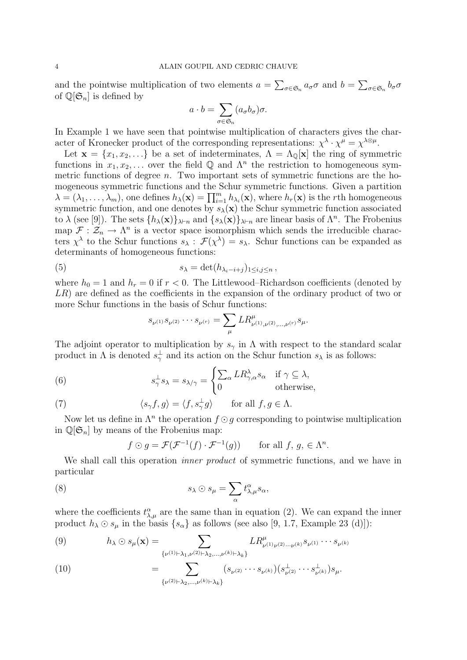and the pointwise multiplication of two elements  $a = \sum_{\sigma \in \mathfrak{S}_n} a_{\sigma} \sigma$  and  $b = \sum_{\sigma \in \mathfrak{S}_n} b_{\sigma} \sigma$ of  $\mathbb{Q}[\mathfrak{S}_n]$  is defined by

$$
a \cdot b = \sum_{\sigma \in \mathfrak{S}_n} (a_{\sigma} b_{\sigma}) \sigma.
$$

In Example 1 we have seen that pointwise multiplication of characters gives the character of Kronecker product of the corresponding representations:  $\chi^{\lambda} \cdot \chi^{\mu} = \chi^{\lambda \otimes \mu}$ .

Let  $\mathbf{x} = \{x_1, x_2, \ldots\}$  be a set of indeterminates,  $\Lambda = \Lambda_{\mathbb{Q}}[\mathbf{x}]$  the ring of symmetric functions in  $x_1, x_2, \ldots$  over the field Q and  $\Lambda^n$  the restriction to homogeneous symmetric functions of degree  $n$ . Two important sets of symmetric functions are the homogeneous symmetric functions and the Schur symmetric functions. Given a partition  $\lambda = (\lambda_1, \ldots, \lambda_m)$ , one defines  $h_{\lambda}(\mathbf{x}) = \prod_{i=1}^m h_{\lambda_i}(\mathbf{x})$ , where  $h_r(\mathbf{x})$  is the rth homogeneous symmetric function, and one denotes by  $s_{\lambda}(\mathbf{x})$  the Schur symmetric function associated to  $\lambda$  (see [9]). The sets  $\{h_\lambda(\mathbf{x})\}_{\lambda\vdash n}$  and  $\{s_\lambda(\mathbf{x})\}_{\lambda\vdash n}$  are linear basis of  $\Lambda^n$ . The Frobenius map  $\mathcal{F}: \mathcal{Z}_n \to \Lambda^n$  is a vector space isomorphism which sends the irreducible characters  $\chi^{\lambda}$  to the Schur functions  $s_{\lambda}$ :  $\mathcal{F}(\chi^{\lambda}) = s_{\lambda}$ . Schur functions can be expanded as determinants of homogeneous functions:

(5) 
$$
s_{\lambda} = \det(h_{\lambda_i - i + j})_{1 \leq i, j \leq n},
$$

where  $h_0 = 1$  and  $h_r = 0$  if  $r < 0$ . The Littlewood–Richardson coefficients (denoted by LR) are defined as the coefficients in the expansion of the ordinary product of two or more Schur functions in the basis of Schur functions:

$$
s_{\nu^{(1)}} s_{\nu^{(2)}} \cdots s_{\nu^{(r)}} = \sum_{\mu} L R^{\mu}_{\nu^{(1)},\nu^{(2)},\dots,\nu^{(r)}} s_{\mu}.
$$

The adjoint operator to multiplication by  $s_\gamma$  in  $\Lambda$  with respect to the standard scalar product in  $\Lambda$  is denoted  $s^{\perp}_{\gamma}$  and its action on the Schur function  $s_{\lambda}$  is as follows:

(6) 
$$
s_{\gamma}^{\perp} s_{\lambda} = s_{\lambda/\gamma} = \begin{cases} \sum_{\alpha} L R_{\gamma,\alpha}^{\lambda} s_{\alpha} & \text{if } \gamma \subseteq \lambda, \\ 0 & \text{otherwise,} \end{cases}
$$

(7) 
$$
\langle s_{\gamma}f, g \rangle = \langle f, s_{\gamma}^{\perp}g \rangle
$$
 for all  $f, g \in \Lambda$ .

Now let us define in  $\Lambda^n$  the operation  $f \odot g$  corresponding to pointwise multiplication in  $\mathbb{Q}[\mathfrak{S}_n]$  by means of the Frobenius map:

$$
f \odot g = \mathcal{F}(\mathcal{F}^{-1}(f) \cdot \mathcal{F}^{-1}(g))
$$
 for all  $f, g, \in \Lambda^n$ .

We shall call this operation *inner product* of symmetric functions, and we have in particular

(8) 
$$
s_{\lambda} \odot s_{\mu} = \sum_{\alpha} t^{\alpha}_{\lambda,\mu} s_{\alpha},
$$

where the coefficients  $t^{\alpha}_{\lambda,\mu}$  are the same than in equation (2). We can expand the inner product  $h_{\lambda} \odot s_{\mu}$  in the basis  $\{s_{\alpha}\}\$ as follows (see also [9, 1.7, Example 23 (d)]):

(9) 
$$
h_{\lambda} \odot s_{\mu}(\mathbf{x}) = \sum_{\{\nu^{(1)} \vdash \lambda_1, \nu^{(2)} \vdash \lambda_2, ..., \nu^{(k)} \vdash \lambda_k\}} LR^{\mu}_{\nu^{(1)} \nu^{(2)} \cdots \nu^{(k)}} s_{\nu^{(1)}} \cdots s_{\nu^{(k)}}
$$

(10) 
$$
= \sum_{\{\nu^{(2)} \vdash \lambda_2, \ldots, \nu^{(k)} \vdash \lambda_k\}} (s_{\nu^{(2)}} \cdots s_{\nu^{(k)}}) (s_{\nu^{(2)}}^{\perp} \cdots s_{\nu^{(k)}}^{\perp}) s_{\mu}.
$$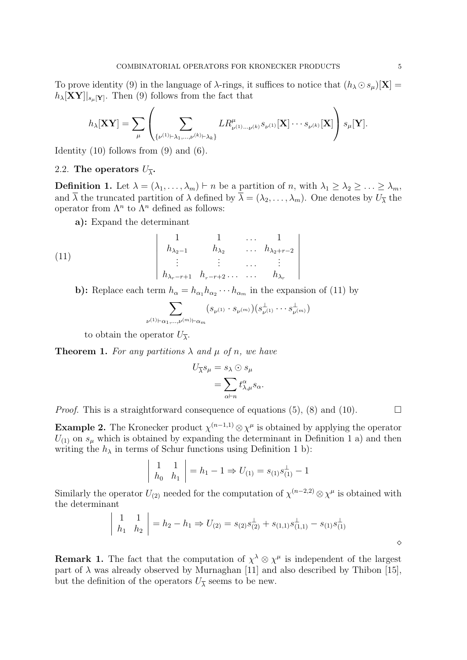To prove identity (9) in the language of  $\lambda$ -rings, it suffices to notice that  $(h_{\lambda} \odot s_{\mu})[X] =$  $h_{\lambda}[\mathbf{X}\mathbf{Y}]|_{s_{\mu}[\mathbf{Y}]}.$  Then (9) follows from the fact that

$$
h_{\lambda}[\mathbf{X}\mathbf{Y}] = \sum_{\mu} \left( \sum_{\{\nu^{(1)} \vdash \lambda_1, \dots, \nu^{(k)} \vdash \lambda_k\}} LR_{\nu^{(1)} \dots \nu^{(k)}}^{\mu} s_{\nu^{(1)}}[\mathbf{X}] \cdots s_{\nu^{(k)}}[\mathbf{X}] \right) s_{\mu}[\mathbf{Y}].
$$

Identity  $(10)$  follows from  $(9)$  and  $(6)$ .

# 2.2. The operators  $U_{\overline{\lambda}}$ .

**Definition 1.** Let  $\lambda = (\lambda_1, \ldots, \lambda_m) \vdash n$  be a partition of n, with  $\lambda_1 \geq \lambda_2 \geq \ldots \geq \lambda_m$ , and  $\lambda$  the truncated partition of  $\lambda$  defined by  $\lambda = (\lambda_2, \dots, \lambda_m)$ . One denotes by  $U_{\overline{\lambda}}$  the operator from  $\Lambda^n$  to  $\Lambda^n$  defined as follows:

a): Expand the determinant

(11) 
$$
\begin{vmatrix} 1 & 1 & \dots & 1 \\ h_{\lambda_2-1} & h_{\lambda_2} & \dots & h_{\lambda_2+r-2} \\ \vdots & \vdots & \dots & \vdots \\ h_{\lambda_r-r+1} & h_{r-r+2} & \dots & h_{\lambda_r} \end{vmatrix}
$$

b): Replace each term  $h_{\alpha} = h_{\alpha_1} h_{\alpha_2} \cdots h_{\alpha_m}$  in the expansion of (11) by

$$
\sum_{(1)\vdash \alpha_1,\ldots,\nu^{(m)}\vdash \alpha_m} (s_{\nu^{(1)}}\cdot s_{\nu^{(m)}})(s^{\perp}_{\nu^{(1)}}\cdots s^{\perp}_{\nu^{(m)}})
$$

to obtain the operator  $U_{\overline{\lambda}}$ .

 $\nu$ <sup>(</sup>

**Theorem 1.** For any partitions  $\lambda$  and  $\mu$  of n, we have

$$
U_{\overline{\lambda}}s_{\mu} = s_{\lambda} \odot s_{\mu}
$$
  
= 
$$
\sum_{\alpha \vdash n} t^{\alpha}_{\lambda,\mu} s_{\alpha}.
$$

*Proof.* This is a straightforward consequence of equations (5), (8) and (10).  $\Box$ 

**Example 2.** The Kronecker product  $\chi^{(n-1,1)} \otimes \chi^{\mu}$  is obtained by applying the operator  $U_{(1)}$  on  $s_{\mu}$  which is obtained by expanding the determinant in Definition 1 a) and then writing the  $h_{\lambda}$  in terms of Schur functions using Definition 1 b):

$$
\begin{vmatrix} 1 & 1 \ h_0 & h_1 \end{vmatrix} = h_1 - 1 \Rightarrow U_{(1)} = s_{(1)} s_{(1)}^{\perp} - 1
$$

Similarly the operator  $U_{(2)}$  needed for the computation of  $\chi^{(n-2,2)} \otimes \chi^{\mu}$  is obtained with the determinant

$$
\begin{vmatrix} 1 & 1 \ h_1 & h_2 \end{vmatrix} = h_2 - h_1 \Rightarrow U_{(2)} = s_{(2)} s_{(2)}^{\perp} + s_{(1,1)} s_{(1,1)}^{\perp} - s_{(1)} s_{(1)}^{\perp}
$$

**Remark 1.** The fact that the computation of  $\chi^{\lambda} \otimes \chi^{\mu}$  is independent of the largest part of  $\lambda$  was already observed by Murnaghan [11] and also described by Thibon [15], but the definition of the operators  $U_{\overline{\lambda}}$  seems to be new.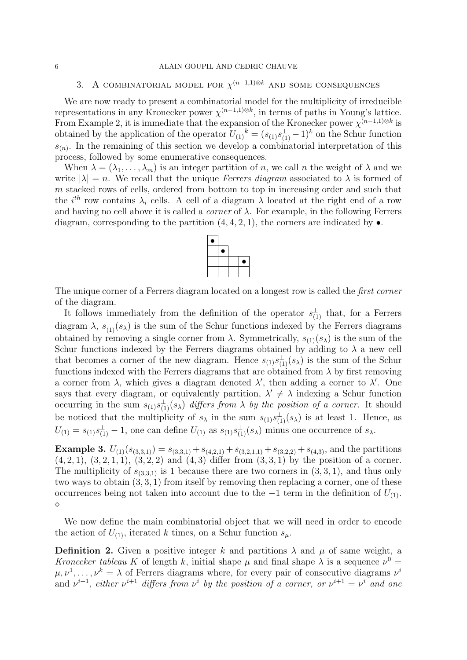### 6 ALAIN GOUPIL AND CEDRIC CHAUVE

# 3. A COMBINATORIAL MODEL FOR  $\chi^{(n-1,1)\otimes k}$  and some consequences

We are now ready to present a combinatorial model for the multiplicity of irreducible representations in any Kronecker power  $\chi^{(n-1,1)\otimes k}$ , in terms of paths in Young's lattice. From Example 2, it is immediate that the expansion of the Kronecker power  $\chi^{(n-1,1)\otimes k}$  is obtained by the application of the operator  $U_{(1)}^{\phantom{(1)}}^k = (s_{(1)}s_{(1)}^{\perp} - 1)^k$  on the Schur function  $s_{(n)}$ . In the remaining of this section we develop a combinatorial interpretation of this process, followed by some enumerative consequences.

When  $\lambda = (\lambda_1, \ldots, \lambda_m)$  is an integer partition of n, we call n the weight of  $\lambda$  and we write  $|\lambda| = n$ . We recall that the unique *Ferrers diagram* associated to  $\lambda$  is formed of m stacked rows of cells, ordered from bottom to top in increasing order and such that the  $i^{th}$  row contains  $\lambda_i$  cells. A cell of a diagram  $\lambda$  located at the right end of a row and having no cell above it is called a *corner* of  $\lambda$ . For example, in the following Ferrers diagram, corresponding to the partition  $(4, 4, 2, 1)$ , the corners are indicated by  $\bullet$ .



The unique corner of a Ferrers diagram located on a longest row is called the *first corner* of the diagram.

It follows immediately from the definition of the operator  $s_{(1)}^{\perp}$  that, for a Ferrers diagram  $\lambda$ ,  $s_{(1)}^{\perp}(s_{\lambda})$  is the sum of the Schur functions indexed by the Ferrers diagrams obtained by removing a single corner from  $\lambda$ . Symmetrically,  $s_{(1)}(s_{\lambda})$  is the sum of the Schur functions indexed by the Ferrers diagrams obtained by adding to  $\lambda$  a new cell that becomes a corner of the new diagram. Hence  $s_{(1)}s_{(1)}^{\perp}(s_{\lambda})$  is the sum of the Schur functions indexed with the Ferrers diagrams that are obtained from  $\lambda$  by first removing a corner from  $\lambda$ , which gives a diagram denoted  $\lambda'$ , then adding a corner to  $\lambda'$ . One says that every diagram, or equivalently partition,  $\lambda' \neq \lambda$  indexing a Schur function occurring in the sum  $s_{(1)}s_{(1)}^{\perp}(s_{\lambda})$  differs from  $\lambda$  by the position of a corner. It should be noticed that the multiplicity of  $s_\lambda$  in the sum  $s_{(1)}s_{(1)}^{\perp}(s_\lambda)$  is at least 1. Hence, as  $U_{(1)} = s_{(1)}s_{(1)}^{\perp} - 1$ , one can define  $U_{(1)}$  as  $s_{(1)}s_{(1)}^{\perp}(s_{\lambda})$  minus one occurrence of  $s_{\lambda}$ .

**Example 3.**  $U_{(1)}(s_{(3,3,1)}) = s_{(3,3,1)} + s_{(4,2,1)} + s_{(3,2,1,1)} + s_{(3,2,2)} + s_{(4,3)}$ , and the partitions  $(4, 2, 1), (3, 2, 1, 1), (3, 2, 2)$  and  $(4, 3)$  differ from  $(3, 3, 1)$  by the position of a corner. The multiplicity of  $s_{(3,3,1)}$  is 1 because there are two corners in  $(3,3,1)$ , and thus only two ways to obtain (3, 3, 1) from itself by removing then replacing a corner, one of these occurrences being not taken into account due to the  $-1$  term in the definition of  $U_{(1)}$ .  $\Diamond$ 

We now define the main combinatorial object that we will need in order to encode the action of  $U_{(1)}$ , iterated k times, on a Schur function  $s_\mu$ .

**Definition 2.** Given a positive integer k and partitions  $\lambda$  and  $\mu$  of same weight, a Kronecker tableau K of length k, initial shape  $\mu$  and final shape  $\lambda$  is a sequence  $\nu^0$  =  $\mu, \nu^1, \ldots, \nu^k = \lambda$  of Ferrers diagrams where, for every pair of consecutive diagrams  $\nu^i$ and  $\nu^{i+1}$ , either  $\nu^{i+1}$  differs from  $\nu^i$  by the position of a corner, or  $\nu^{i+1} = \nu^i$  and one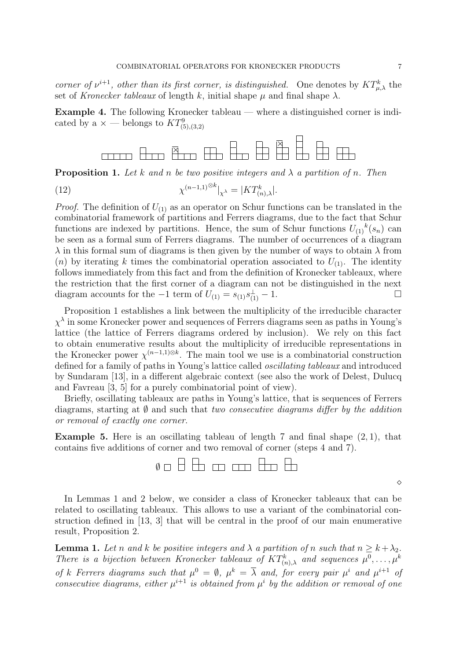corner of  $\nu^{i+1}$ , other than its first corner, is distinguished. One denotes by  $KT^k_{\mu,\lambda}$  the set of Kronecker tableaux of length k, initial shape  $\mu$  and final shape  $\lambda$ .

Example 4. The following Kronecker tableau — where a distinguished corner is indicated by a  $\times$  — belongs to  $KT^9_{(5),(3,2)}$ 



**Proposition 1.** Let k and n be two positive integers and  $\lambda$  a partition of n. Then

(12) 
$$
\chi^{(n-1,1)^{\otimes k}}|_{\chi^{\lambda}} = |KT_{(n),\lambda}^k|.
$$

*Proof.* The definition of  $U_{(1)}$  as an operator on Schur functions can be translated in the combinatorial framework of partitions and Ferrers diagrams, due to the fact that Schur functions are indexed by partitions. Hence, the sum of Schur functions  $U_{(1)}{}^k(s_n)$  can be seen as a formal sum of Ferrers diagrams. The number of occurrences of a diagram  $\lambda$  in this formal sum of diagrams is then given by the number of ways to obtain  $\lambda$  from (n) by iterating k times the combinatorial operation associated to  $U_{(1)}$ . The identity follows immediately from this fact and from the definition of Kronecker tableaux, where the restriction that the first corner of a diagram can not be distinguished in the next diagram accounts for the  $-1$  term of  $U_{(1)} = s_{(1)} s_{(1)}^{\perp} - 1$ .

Proposition 1 establishes a link between the multiplicity of the irreducible character  $\chi^{\lambda}$  in some Kronecker power and sequences of Ferrers diagrams seen as paths in Young's lattice (the lattice of Ferrers diagrams ordered by inclusion). We rely on this fact to obtain enumerative results about the multiplicity of irreducible representations in the Kronecker power  $\chi^{(n-1,1)\otimes k}$ . The main tool we use is a combinatorial construction defined for a family of paths in Young's lattice called oscillating tableaux and introduced by Sundaram [13], in a different algebraic context (see also the work of Delest, Dulucq and Favreau [3, 5] for a purely combinatorial point of view).

Briefly, oscillating tableaux are paths in Young's lattice, that is sequences of Ferrers diagrams, starting at  $\emptyset$  and such that two consecutive diagrams differ by the addition or removal of exactly one corner.

**Example 5.** Here is an oscillating tableau of length 7 and final shape  $(2, 1)$ , that contains five additions of corner and two removal of corner (steps 4 and 7).



In Lemmas 1 and 2 below, we consider a class of Kronecker tableaux that can be related to oscillating tableaux. This allows to use a variant of the combinatorial construction defined in [13, 3] that will be central in the proof of our main enumerative result, Proposition 2.

**Lemma 1.** Let n and k be positive integers and  $\lambda$  a partition of n such that  $n \geq k + \lambda_2$ . There is a bijection between Kronecker tableaux of  $KT^k_{(n),\lambda}$  and sequences  $\mu^0,\ldots,\mu^k$ of k Ferrers diagrams such that  $\mu^0 = \emptyset$ ,  $\mu^k = \overline{\lambda}$  and, for every pair  $\mu^i$  and  $\mu^{i+1}$  of consecutive diagrams, either  $\mu^{i+1}$  is obtained from  $\mu^i$  by the addition or removal of one

♦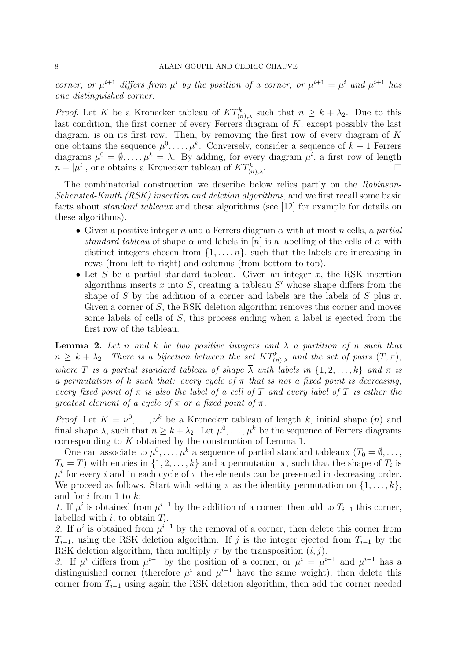corner, or  $\mu^{i+1}$  differs from  $\mu^i$  by the position of a corner, or  $\mu^{i+1} = \mu^i$  and  $\mu^{i+1}$  has one distinguished corner.

*Proof.* Let K be a Kronecker tableau of  $KT^k_{(n),\lambda}$  such that  $n \geq k + \lambda_2$ . Due to this last condition, the first corner of every Ferrers diagram of  $K$ , except possibly the last diagram, is on its first row. Then, by removing the first row of every diagram of  $K$ one obtains the sequence  $\mu^0, \ldots, \mu^k$ . Conversely, consider a sequence of  $k+1$  Ferrers diagrams  $\mu^0 = \emptyset, \ldots, \mu^k = \overline{\lambda}$ . By adding, for every diagram  $\mu^i$ , a first row of length  $n - |\mu^i|$ , one obtains a Kronecker tableau of  $KT_{\alpha}^k$  $\begin{array}{c} \n\frac{1}{2} \\
(n), \lambda\n\end{array}$ 

The combinatorial construction we describe below relies partly on the Robinson-Schensted-Knuth (RSK) insertion and deletion algorithms, and we first recall some basic facts about standard tableaux and these algorithms (see [12] for example for details on these algorithms).

- Given a positive integer n and a Ferrers diagram  $\alpha$  with at most n cells, a partial standard tableau of shape  $\alpha$  and labels in [n] is a labelling of the cells of  $\alpha$  with distinct integers chosen from  $\{1, \ldots, n\}$ , such that the labels are increasing in rows (from left to right) and columns (from bottom to top).
- Let S be a partial standard tableau. Given an integer x, the RSK insertion algorithms inserts  $x$  into  $S$ , creating a tableau  $S'$  whose shape differs from the shape of S by the addition of a corner and labels are the labels of S plus x. Given a corner of S, the RSK deletion algorithm removes this corner and moves some labels of cells of S, this process ending when a label is ejected from the first row of the tableau.

**Lemma 2.** Let n and k be two positive integers and  $\lambda$  a partition of n such that  $n \geq k + \lambda_2$ . There is a bijection between the set  $KT^k_{(n),\lambda}$  and the set of pairs  $(T, \pi)$ , where T is a partial standard tableau of shape  $\overline{\lambda}$  with labels in  $\{1, 2, \ldots, k\}$  and  $\pi$  is a permutation of k such that: every cycle of  $\pi$  that is not a fixed point is decreasing, every fixed point of  $\pi$  is also the label of a cell of T and every label of T is either the greatest element of a cycle of  $\pi$  or a fixed point of  $\pi$ .

*Proof.* Let  $K = \nu^0, \ldots, \nu^k$  be a Kronecker tableau of length k, initial shape (n) and final shape  $\lambda$ , such that  $n \geq k + \lambda_2$ . Let  $\mu^0, \ldots, \mu^k$  be the sequence of Ferrers diagrams corresponding to K obtained by the construction of Lemma 1.

One can associate to  $\mu^0, \ldots, \mu^k$  a sequence of partial standard tableaux  $(T_0 = \emptyset, \ldots,$  $T_k = T$ ) with entries in  $\{1, 2, \ldots, k\}$  and a permutation  $\pi$ , such that the shape of  $T_i$  is  $\mu^{i}$  for every i and in each cycle of  $\pi$  the elements can be presented in decreasing order. We proceed as follows. Start with setting  $\pi$  as the identity permutation on  $\{1, \ldots, k\}$ , and for  $i$  from 1 to  $k$ :

1. If  $\mu^i$  is obtained from  $\mu^{i-1}$  by the addition of a corner, then add to  $T_{i-1}$  this corner, labelled with  $i$ , to obtain  $T_i$ .

2. If  $\mu^i$  is obtained from  $\mu^{i-1}$  by the removal of a corner, then delete this corner from  $T_{i-1}$ , using the RSK deletion algorithm. If j is the integer ejected from  $T_{i-1}$  by the RSK deletion algorithm, then multiply  $\pi$  by the transposition  $(i, j)$ .

3. If  $\mu^i$  differs from  $\mu^{i-1}$  by the position of a corner, or  $\mu^i = \mu^{i-1}$  and  $\mu^{i-1}$  has a distinguished corner (therefore  $\mu^{i}$  and  $\mu^{i-1}$  have the same weight), then delete this corner from  $T_{i-1}$  using again the RSK deletion algorithm, then add the corner needed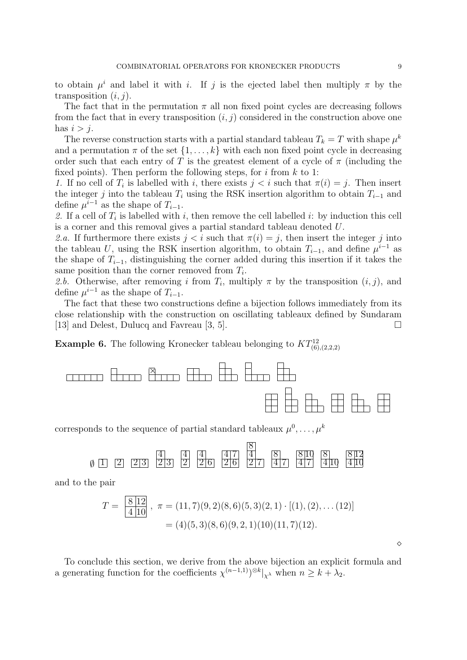to obtain  $\mu^i$  and label it with i. If j is the ejected label then multiply  $\pi$  by the transposition  $(i, j)$ .

The fact that in the permutation  $\pi$  all non fixed point cycles are decreasing follows from the fact that in every transposition  $(i, j)$  considered in the construction above one has  $i > j$ .

The reverse construction starts with a partial standard tableau  $T_k = T$  with shape  $\mu^k$ and a permutation  $\pi$  of the set  $\{1, \ldots, k\}$  with each non fixed point cycle in decreasing order such that each entry of T is the greatest element of a cycle of  $\pi$  (including the fixed points). Then perform the following steps, for  $i$  from  $k$  to 1:

1. If no cell of  $T_i$  is labelled with i, there exists  $j < i$  such that  $\pi(i) = j$ . Then insert the integer j into the tableau  $T_i$  using the RSK insertion algorithm to obtain  $T_{i-1}$  and define  $\mu^{i-1}$  as the shape of  $T_{i-1}$ .

2. If a cell of  $T_i$  is labelled with i, then remove the cell labelled i: by induction this cell is a corner and this removal gives a partial standard tableau denoted U.

2.a. If furthermore there exists  $j < i$  such that  $\pi(i) = j$ , then insert the integer j into the tableau U, using the RSK insertion algorithm, to obtain  $T_{i-1}$ , and define  $\mu^{i-1}$  as the shape of  $T_{i-1}$ , distinguishing the corner added during this insertion if it takes the same position than the corner removed from  $T_i$ .

2.b. Otherwise, after removing i from  $T_i$ , multiply  $\pi$  by the transposition  $(i, j)$ , and define  $\mu^{i-1}$  as the shape of  $T_{i-1}$ .

The fact that these two constructions define a bijection follows immediately from its close relationship with the construction on oscillating tableaux defined by Sundaram [13] and Delest, Dulucq and Favreau [3, 5].

**Example 6.** The following Kronecker tableau belonging to  $KT^{12}_{(6),(2,2,2)}$ 



corresponds to the sequence of partial standard tableaux  $\mu^0, \ldots, \mu^k$ 



and to the pair

$$
T = \frac{8|12|}{4|10|}, \ \pi = (11,7)(9,2)(8,6)(5,3)(2,1) \cdot [(1),(2),\dots(12)]
$$

$$
= (4)(5,3)(8,6)(9,2,1)(10)(11,7)(12).
$$

To conclude this section, we derive from the above bijection an explicit formula and a generating function for the coefficients  $\chi^{(n-1,1)})^{\otimes k}|_{\chi^{\lambda}}$  when  $n \geq k + \lambda_2$ .

 $\Diamond$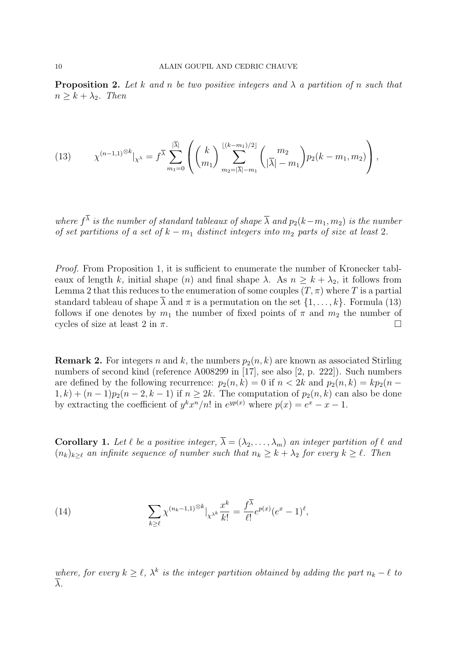**Proposition 2.** Let k and n be two positive integers and  $\lambda$  a partition of n such that  $n \geq k + \lambda_2$ . Then

(13) 
$$
\chi^{(n-1,1)^{\otimes k}}|_{\chi^{\lambda}} = f^{\overline{\lambda}} \sum_{m_1=0}^{|\overline{\lambda}|} \left( \binom{k}{m_1} \sum_{m_2=|\overline{\lambda}|-m_1}^{[(k-m_1)/2]} \binom{m_2}{|\overline{\lambda}|-m_1} p_2(k-m_1,m_2) \right),
$$

where  $f^{\lambda}$  is the number of standard tableaux of shape  $\overline{\lambda}$  and  $p_2(k-m_1, m_2)$  is the number of set partitions of a set of  $k - m_1$  distinct integers into  $m_2$  parts of size at least 2.

Proof. From Proposition 1, it is sufficient to enumerate the number of Kronecker tableaux of length k, initial shape (n) and final shape  $\lambda$ . As  $n \geq k + \lambda_2$ , it follows from Lemma 2 that this reduces to the enumeration of some couples  $(T, \pi)$  where T is a partial standard tableau of shape  $\overline{\lambda}$  and  $\pi$  is a permutation on the set  $\{1, \ldots, k\}$ . Formula (13) follows if one denotes by  $m_1$  the number of fixed points of  $\pi$  and  $m_2$  the number of cycles of size at least 2 in  $\pi$ .

**Remark 2.** For integers n and k, the numbers  $p_2(n, k)$  are known as associated Stirling numbers of second kind (reference A008299 in [17], see also [2, p. 222]). Such numbers are defined by the following recurrence:  $p_2(n, k) = 0$  if  $n < 2k$  and  $p_2(n, k) = kp_2(n - k)$  $1, k) + (n - 1)p_2(n - 2, k - 1)$  if  $n \geq 2k$ . The computation of  $p_2(n, k)$  can also be done by extracting the coefficient of  $y^k x^n/n!$  in  $e^{yp(x)}$  where  $p(x) = e^x - x - 1$ .

**Corollary 1.** Let  $\ell$  be a positive integer,  $\overline{\lambda} = (\lambda_2, \ldots, \lambda_m)$  an integer partition of  $\ell$  and  $(n_k)_{k\geq \ell}$  an infinite sequence of number such that  $n_k \geq k + \lambda_2$  for every  $k \geq \ell$ . Then

(14) 
$$
\sum_{k\geq \ell} \chi^{(n_k-1,1)^{\otimes k}}|_{\chi^{\lambda^k}} \frac{x^k}{k!} = \frac{f^{\overline{\lambda}}}{\ell!} e^{p(x)} (e^x - 1)^{\ell},
$$

where, for every  $k \geq \ell$ ,  $\lambda^k$  is the integer partition obtained by adding the part  $n_k - \ell$  to λ.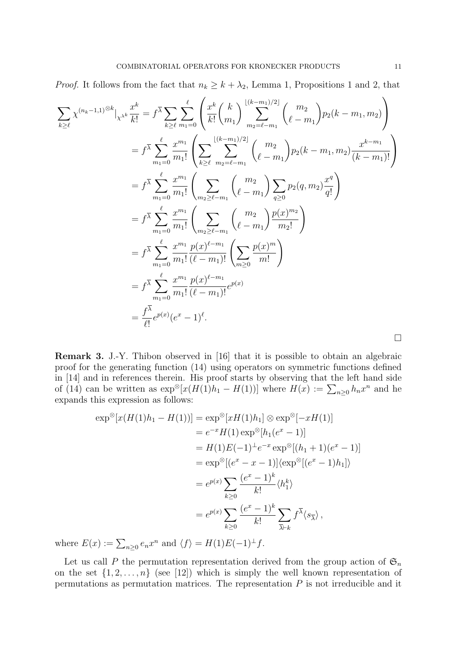*Proof.* It follows from the fact that  $n_k \geq k + \lambda_2$ , Lemma 1, Propositions 1 and 2, that

$$
\sum_{k\geq\ell} \chi^{(n_k-1,1)} \otimes k \Big|_{\chi^{X^k}} \frac{x^k}{k!} = f^{\overline{\lambda}} \sum_{k\geq\ell} \sum_{m_1=0}^{\ell} \left( \frac{x^k}{k!} {k \choose m_1} \sum_{m_2=\ell-m_1}^{\lfloor (k-m_1)/2 \rfloor} {m_2 \choose \ell-m_1} p_2(k-m_1, m_2) \right)
$$
  
\n
$$
= f^{\overline{\lambda}} \sum_{m_1=0}^{\ell} \frac{x^{m_1}}{m_1!} \left( \sum_{k\geq\ell} \sum_{m_2=\ell-m_1}^{\lfloor (k-m_1)/2 \rfloor} {m_2 \choose \ell-m_1} p_2(k-m_1, m_2) \frac{x^{k-m_1}}{(k-m_1)!} \right)
$$
  
\n
$$
= f^{\overline{\lambda}} \sum_{m_1=0}^{\ell} \frac{x^{m_1}}{m_1!} \left( \sum_{m_2\geq\ell-m_1} {m_2 \choose \ell-m_1} \sum_{q\geq 0} p_2(q, m_2) \frac{x^q}{q!} \right)
$$
  
\n
$$
= f^{\overline{\lambda}} \sum_{m_1=0}^{\ell} \frac{x^{m_1}}{m_1!} \left( \sum_{m_2\geq\ell-m_1} {m_2 \choose \ell-m_1} \frac{p(x)^{m_2}}{m_2!} \right)
$$
  
\n
$$
= f^{\overline{\lambda}} \sum_{m_1=0}^{\ell} \frac{x^{m_1}}{m_1!} \frac{p(x)^{\ell-m_1}}{(\ell-m_1)!} \left( \sum_{m\geq 0} \frac{p(x)^m}{m!} \right)
$$
  
\n
$$
= f^{\overline{\lambda}} \sum_{m_1=0}^{\ell} \frac{x^{m_1}}{m_1!} \frac{p(x)^{\ell-m_1}}{(\ell-m_1)!} e^{p(x)}
$$
  
\n
$$
= \frac{f^{\overline{\lambda}}}{\ell!} e^{p(x)} (e^x - 1)^{\ell}.
$$

Remark 3. J.-Y. Thibon observed in [16] that it is possible to obtain an algebraic proof for the generating function (14) using operators on symmetric functions defined in [14] and in references therein. His proof starts by observing that the left hand side of (14) can be written as  $\exp^{\otimes}[x(H(1)h_1 - H(1))]$  where  $H(x) := \sum_{n\geq 0} h_n x^n$  and he expands this expression as follows:

$$
\exp^{\otimes}[x(H(1)h_1 - H(1))] = \exp^{\otimes}[xH(1)h_1] \otimes \exp^{\otimes}[-xH(1)]
$$
  
\n
$$
= e^{-x}H(1) \exp^{\otimes}[h_1(e^x - 1)]
$$
  
\n
$$
= H(1)E(-1)^{\perp}e^{-x} \exp^{\otimes}[(h_1 + 1)(e^x - 1)]
$$
  
\n
$$
= \exp^{\otimes}[(e^x - x - 1)] \langle \exp^{\otimes}[(e^x - 1)h_1] \rangle
$$
  
\n
$$
= e^{p(x)} \sum_{k \ge 0} \frac{(e^x - 1)^k}{k!} \langle h_1^k \rangle
$$
  
\n
$$
= e^{p(x)} \sum_{k \ge 0} \frac{(e^x - 1)^k}{k!} \sum_{\overline{\lambda} \vdash k} f^{\overline{\lambda}} \langle s_{\overline{\lambda}} \rangle,
$$

where  $E(x) := \sum_{n\geq 0} e_n x^n$  and  $\langle f \rangle = H(1)E(-1)^{\perp}f$ .

Let us call P the permutation representation derived from the group action of  $\mathfrak{S}_n$ on the set  $\{1, 2, \ldots, n\}$  (see [12]) which is simply the well known representation of permutations as permutation matrices. The representation  $P$  is not irreducible and it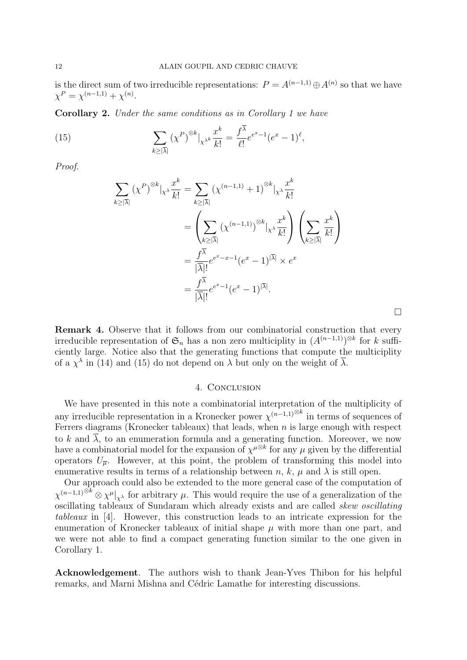is the direct sum of two irreducible representations:  $P = A^{(n-1,1)} \oplus A^{(n)}$  so that we have  $\chi^P = \chi^{(n-1,1)} + \chi^{(n)}$ .

Corollary 2. Under the same conditions as in Corollary 1 we have

(15) 
$$
\sum_{k\geq |\overline{\lambda}|} (\chi^P)^{\otimes k} |_{\chi^{\lambda^k}} \frac{x^k}{k!} = \frac{f^{\lambda}}{\ell!} e^{e^x - 1} (e^x - 1)^{\ell},
$$

Proof.

$$
\sum_{k\geq |\overline{\lambda}|} (\chi^P)^{\otimes k} |_{\chi^{\lambda}} \frac{x^k}{k!} = \sum_{k\geq |\overline{\lambda}|} (\chi^{(n-1,1)} + 1)^{\otimes k} |_{\chi^{\lambda}} \frac{x^k}{k!}
$$

$$
= \left( \sum_{k\geq |\overline{\lambda}|} (\chi^{(n-1,1)})^{\otimes k} |_{\chi^{\lambda}} \frac{x^k}{k!} \right) \left( \sum_{k\geq |\overline{\lambda}|} \frac{x^k}{k!} \right)
$$

$$
= \frac{f^{\overline{\lambda}}}{|\overline{\lambda}|!} e^{e^x - x - 1} (e^x - 1)^{|\overline{\lambda}|} \times e^x
$$

$$
= \frac{f^{\overline{\lambda}}}{|\overline{\lambda}|!} e^{e^x - 1} (e^x - 1)^{|\overline{\lambda}|}.
$$

Remark 4. Observe that it follows from our combinatorial construction that every irreducible representation of  $\mathfrak{S}_n$  has a non zero multiciplity in  $(A^{(n-1,1)})^{\otimes k}$  for k sufficiently large. Notice also that the generating functions that compute the multiciplity of a  $\chi^{\lambda}$  in (14) and (15) do not depend on  $\lambda$  but only on the weight of  $\overline{\lambda}$ .

 $\Box$ 

### 4. Conclusion

We have presented in this note a combinatorial interpretation of the multiplicity of any irreducible representation in a Kronecker power  $\chi^{(n-1,1)\otimes k}$  in terms of sequences of Ferrers diagrams (Kronecker tableaux) that leads, when  $n$  is large enough with respect to k and  $\overline{\lambda}$ , to an enumeration formula and a generating function. Moreover, we now have a combinatorial model for the expansion of  $\chi^{\mu\otimes k}$  for any  $\mu$  given by the differential operators  $U_{\overline{n}}$ . However, at this point, the problem of transforming this model into enumerative results in terms of a relationship between n, k,  $\mu$  and  $\lambda$  is still open.

Our approach could also be extended to the more general case of the computation of  $\chi^{(n-1,1)^{\otimes k}} \otimes \chi^{\mu}|_{\chi^{\lambda}}$  for arbitrary  $\mu$ . This would require the use of a generalization of the oscillating tableaux of Sundaram which already exists and are called skew oscillating tableaux in [4]. However, this construction leads to an intricate expression for the enumeration of Kronecker tableaux of initial shape  $\mu$  with more than one part, and we were not able to find a compact generating function similar to the one given in Corollary 1.

Acknowledgement. The authors wish to thank Jean-Yves Thibon for his helpful remarks, and Marni Mishna and Cédric Lamathe for interesting discussions.